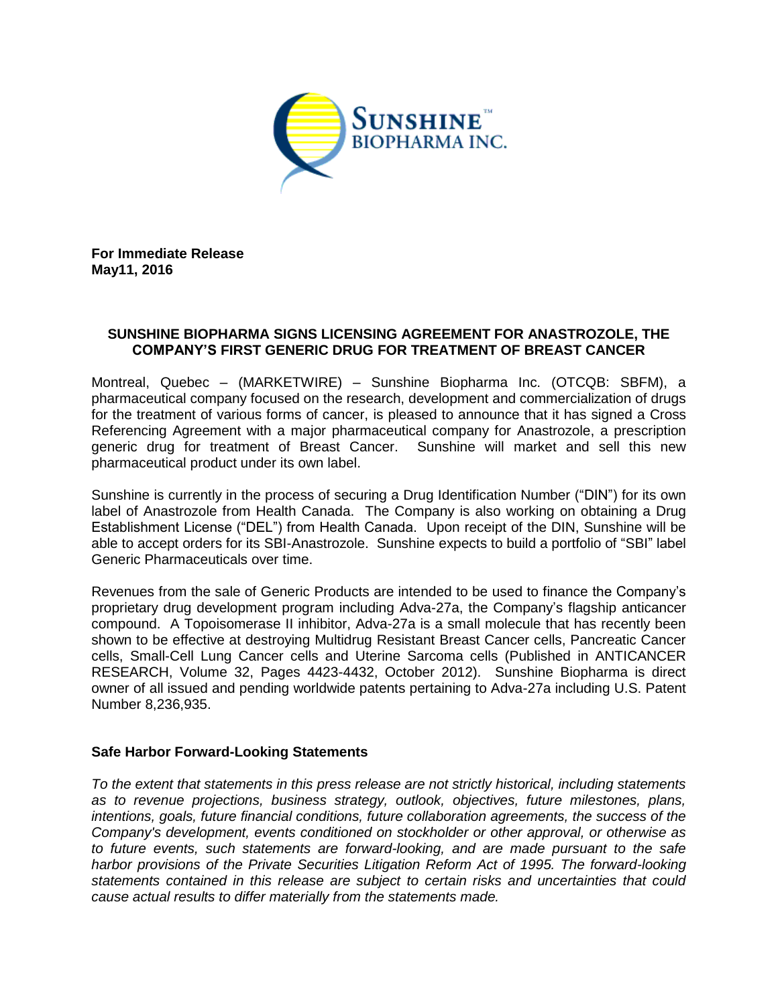

**For Immediate Release May11, 2016**

## **SUNSHINE BIOPHARMA SIGNS LICENSING AGREEMENT FOR ANASTROZOLE, THE COMPANY'S FIRST GENERIC DRUG FOR TREATMENT OF BREAST CANCER**

Montreal, Quebec – (MARKETWIRE) – Sunshine Biopharma Inc. (OTCQB: SBFM), a pharmaceutical company focused on the research, development and commercialization of drugs for the treatment of various forms of cancer, is pleased to announce that it has signed a Cross Referencing Agreement with a major pharmaceutical company for Anastrozole, a prescription generic drug for treatment of Breast Cancer. Sunshine will market and sell this new pharmaceutical product under its own label.

Sunshine is currently in the process of securing a Drug Identification Number ("DIN") for its own label of Anastrozole from Health Canada. The Company is also working on obtaining a Drug Establishment License ("DEL") from Health Canada. Upon receipt of the DIN, Sunshine will be able to accept orders for its SBI-Anastrozole. Sunshine expects to build a portfolio of "SBI" label Generic Pharmaceuticals over time.

Revenues from the sale of Generic Products are intended to be used to finance the Company's proprietary drug development program including Adva-27a, the Company's flagship anticancer compound. A Topoisomerase II inhibitor, Adva-27a is a small molecule that has recently been shown to be effective at destroying Multidrug Resistant Breast Cancer cells, Pancreatic Cancer cells, Small-Cell Lung Cancer cells and Uterine Sarcoma cells (Published in ANTICANCER RESEARCH, Volume 32, Pages 4423-4432, October 2012). Sunshine Biopharma is direct owner of all issued and pending worldwide patents pertaining to Adva-27a including U.S. Patent Number 8,236,935.

## **Safe Harbor Forward-Looking Statements**

*To the extent that statements in this press release are not strictly historical, including statements as to revenue projections, business strategy, outlook, objectives, future milestones, plans, intentions, goals, future financial conditions, future collaboration agreements, the success of the Company's development, events conditioned on stockholder or other approval, or otherwise as to future events, such statements are forward-looking, and are made pursuant to the safe harbor provisions of the Private Securities Litigation Reform Act of 1995. The forward-looking statements contained in this release are subject to certain risks and uncertainties that could cause actual results to differ materially from the statements made.*